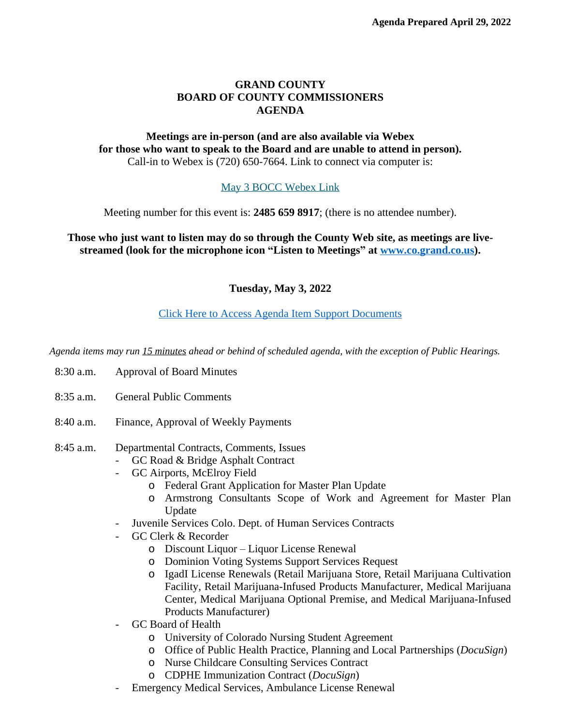## **GRAND COUNTY BOARD OF COUNTY COMMISSIONERS AGENDA**

## **Meetings are in-person (and are also available via Webex for those who want to speak to the Board and are unable to attend in person).** Call-in to Webex is (720) 650-7664. Link to connect via computer is:

# [May 3 BOCC Webex Link](https://grandcounty.webex.com/grandcounty/j.php?MTID=m7f6207247c1b4e0bb9ce25e0cd228a0f)

[Meeting number for this event is:](https://grandcounty.webex.com/grandcounty/j.php?MTID=m7f6207247c1b4e0bb9ce25e0cd228a0f) **[2485 659 8917](https://grandcounty.webex.com/grandcounty/j.php?MTID=m7f6207247c1b4e0bb9ce25e0cd228a0f)**[; \(there is no attendee number\).](https://grandcounty.webex.com/grandcounty/j.php?MTID=m7f6207247c1b4e0bb9ce25e0cd228a0f)

**[Those who just want to listen may do so through the County Web site, as meetings are live](https://grandcounty.webex.com/grandcounty/j.php?MTID=m7f6207247c1b4e0bb9ce25e0cd228a0f)[streamed \(look for the microphone icon](https://grandcounty.webex.com/grandcounty/j.php?MTID=m7f6207247c1b4e0bb9ce25e0cd228a0f) "Listen to Meetings" [at](https://grandcounty.webex.com/grandcounty/j.php?MTID=m7f6207247c1b4e0bb9ce25e0cd228a0f) [www.co.grand.co.us\)](http://www.co.grand.co.us).**

**Tuesday, May 3, 2022**

# [Click Here to Access Agenda Item Support Documents](https://grandco.box.com/v/boccsupporteddocuments)

*[Agenda items may run 15 minutes ahead or behind of scheduled agenda, with the exception of Public Hearings.](https://grandco.box.com/v/boccsupporteddocuments)*

- [8:30 a.m.](https://grandco.box.com/v/boccsupporteddocuments) [Approval of Board Minutes](https://grandco.box.com/v/boccsupporteddocuments)
- [8:35 a.m.](https://grandco.box.com/v/boccsupporteddocuments) [General Public Comments](https://grandco.box.com/v/boccsupporteddocuments)
- [8:40 a.m.](https://grandco.box.com/v/boccsupporteddocuments) [Finance, Approval of Weekly Payments](https://grandco.box.com/v/boccsupporteddocuments)
- [8:45](https://grandco.box.com/v/boccsupporteddocuments) [a.m.](https://grandco.box.com/v/boccsupporteddocuments) [Departmental Contracts, Comments, Issues](https://grandco.box.com/v/boccsupporteddocuments)
	- [GC Road & Bridge Asphalt Contract](https://grandco.box.com/v/boccsupporteddocuments)
	- [GC Airports, McElroy Field](https://grandco.box.com/v/boccsupporteddocuments)
		- o [Federal Grant Application for Master Plan Update](https://grandco.box.com/v/boccsupporteddocuments)
		- o Armstrong [Consultants](https://grandco.box.com/v/boccsupporteddocuments) Scope of Work and Agreement for Master Plan [Update](https://grandco.box.com/v/boccsupporteddocuments)
	- [Juvenile Services Colo. Dept. of Human Services Contracts](https://grandco.box.com/v/boccsupporteddocuments)
	- [GC Clerk & Recorder](https://grandco.box.com/v/boccsupporteddocuments)
		- o Discount Liquor – [Liquor License Renewal](https://grandco.box.com/v/boccsupporteddocuments)
		- o [Dominion Voting Systems Support Services Request](https://grandco.box.com/v/boccsupporteddocuments)
		- o IgadI License [Renewals](https://grandco.box.com/v/boccsupporteddocuments) (Retail Marijuana Store, Retail Marijuana [Cultivation](https://grandco.box.com/v/boccsupporteddocuments) Facility, Retail [Marijuana-Infused](https://grandco.box.com/v/boccsupporteddocuments) Products Manufacturer, Medical Marijuana Center, Medical Marijuana Optional Premise, and Medical [Marijuana-Infused](https://grandco.box.com/v/boccsupporteddocuments) [Products Manufacturer\)](https://grandco.box.com/v/boccsupporteddocuments)
	- [GC Board of Health](https://grandco.box.com/v/boccsupporteddocuments)
		- o [University of Colorado Nursing Student Agreement](https://grandco.box.com/v/boccsupporteddocuments)
		- o [Office of Public Health Practice, Planning and Local Partnerships \(](https://grandco.box.com/v/boccsupporteddocuments)*[DocuSign](https://grandco.box.com/v/boccsupporteddocuments)*[\)](https://grandco.box.com/v/boccsupporteddocuments)
		- o [Nurse Childcare Consulting Services Contract](https://grandco.box.com/v/boccsupporteddocuments)
		- o [CDPHE Immunization Contract \(](https://grandco.box.com/v/boccsupporteddocuments)*[DocuSign](https://grandco.box.com/v/boccsupporteddocuments)*[\)](https://grandco.box.com/v/boccsupporteddocuments)
	- [Emergency Medical Services, Ambulance License Renewal](https://grandco.box.com/v/boccsupporteddocuments)